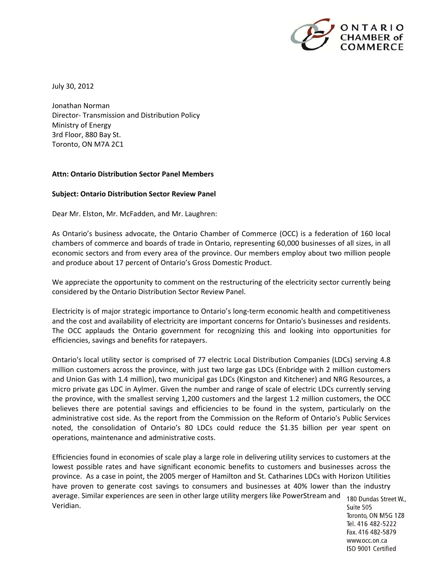

July 30, 2012

Jonathan Norman Director‐ Transmission and Distribution Policy Ministry of Energy 3rd Floor, 880 Bay St. Toronto, ON M7A 2C1

## **Attn: Ontario Distribution Sector Panel Members**

## **Subject: Ontario Distribution Sector Review Panel**

Dear Mr. Elston, Mr. McFadden, and Mr. Laughren:

As Ontario's business advocate, the Ontario Chamber of Commerce (OCC) is a federation of 160 local chambers of commerce and boards of trade in Ontario, representing 60,000 businesses of all sizes, in all economic sectors and from every area of the province. Our members employ about two million people and produce about 17 percent of Ontario's Gross Domestic Product.

We appreciate the opportunity to comment on the restructuring of the electricity sector currently being considered by the Ontario Distribution Sector Review Panel.

Electricity is of major strategic importance to Ontario's long‐term economic health and competitiveness and the cost and availability of electricity are important concerns for Ontario's businesses and residents. The OCC applauds the Ontario government for recognizing this and looking into opportunities for efficiencies, savings and benefits for ratepayers.

Ontario's local utility sector is comprised of 77 electric Local Distribution Companies (LDCs) serving 4.8 million customers across the province, with just two large gas LDCs (Enbridge with 2 million customers and Union Gas with 1.4 million), two municipal gas LDCs (Kingston and Kitchener) and NRG Resources, a micro private gas LDC in Aylmer. Given the number and range of scale of electric LDCs currently serving the province, with the smallest serving 1,200 customers and the largest 1.2 million customers, the OCC believes there are potential savings and efficiencies to be found in the system, particularly on the administrative cost side. As the report from the Commission on the Reform of Ontario's Public Services noted, the consolidation of Ontario's 80 LDCs could reduce the \$1.35 billion per year spent on operations, maintenance and administrative costs.

Efficiencies found in economies of scale play a large role in delivering utility services to customers at the lowest possible rates and have significant economic benefits to customers and businesses across the province. As a case in point, the 2005 merger of Hamilton and St. Catharines LDCs with Horizon Utilities have proven to generate cost savings to consumers and businesses at 40% lower than the industry average. Similar experiences are seen in other large utility mergers like PowerStream and 180 Dundas Street W., Veridian.

Suite 505 Toronto, ON M5G 1Z8 Tel. 416 482-5222 Fax. 416 482-5879 www.occ.on.ca ISO 9001 Certified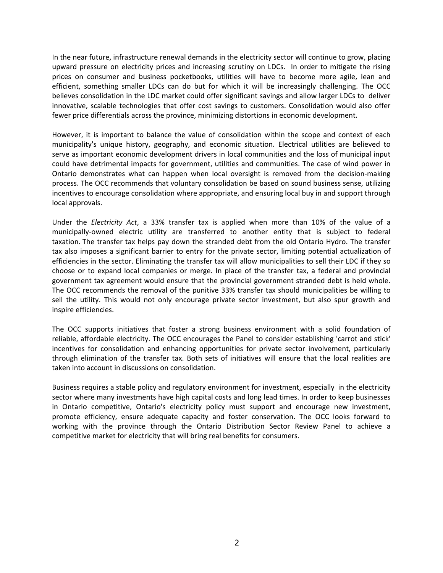In the near future, infrastructure renewal demands in the electricity sector will continue to grow, placing upward pressure on electricity prices and increasing scrutiny on LDCs. In order to mitigate the rising prices on consumer and business pocketbooks, utilities will have to become more agile, lean and efficient, something smaller LDCs can do but for which it will be increasingly challenging. The OCC believes consolidation in the LDC market could offer significant savings and allow larger LDCs to deliver innovative, scalable technologies that offer cost savings to customers. Consolidation would also offer fewer price differentials across the province, minimizing distortions in economic development.

However, it is important to balance the value of consolidation within the scope and context of each municipality's unique history, geography, and economic situation. Electrical utilities are believed to serve as important economic development drivers in local communities and the loss of municipal input could have detrimental impacts for government, utilities and communities. The case of wind power in Ontario demonstrates what can happen when local oversight is removed from the decision‐making process. The OCC recommends that voluntary consolidation be based on sound business sense, utilizing incentives to encourage consolidation where appropriate, and ensuring local buy in and support through local approvals.

Under the *Electricity Act*, a 33% transfer tax is applied when more than 10% of the value of a municipally‐owned electric utility are transferred to another entity that is subject to federal taxation. The transfer tax helps pay down the stranded debt from the old Ontario Hydro. The transfer tax also imposes a significant barrier to entry for the private sector, limiting potential actualization of efficiencies in the sector. Eliminating the transfer tax will allow municipalities to sell their LDC if they so choose or to expand local companies or merge. In place of the transfer tax, a federal and provincial government tax agreement would ensure that the provincial government stranded debt is held whole. The OCC recommends the removal of the punitive 33% transfer tax should municipalities be willing to sell the utility. This would not only encourage private sector investment, but also spur growth and inspire efficiencies.

The OCC supports initiatives that foster a strong business environment with a solid foundation of reliable, affordable electricity. The OCC encourages the Panel to consider establishing 'carrot and stick' incentives for consolidation and enhancing opportunities for private sector involvement, particularly through elimination of the transfer tax. Both sets of initiatives will ensure that the local realities are taken into account in discussions on consolidation.

Business requires a stable policy and regulatory environment for investment, especially in the electricity sector where many investments have high capital costs and long lead times. In order to keep businesses in Ontario competitive, Ontario's electricity policy must support and encourage new investment, promote efficiency, ensure adequate capacity and foster conservation. The OCC looks forward to working with the province through the Ontario Distribution Sector Review Panel to achieve a competitive market for electricity that will bring real benefits for consumers.